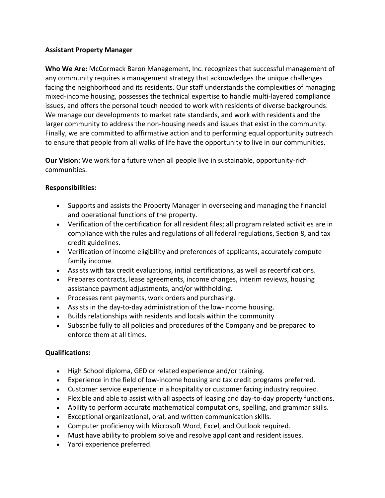## **Assistant Property Manager**

**Who We Are:** McCormack Baron Management, Inc. recognizes that successful management of any community requires a management strategy that acknowledges the unique challenges facing the neighborhood and its residents. Our staff understands the complexities of managing mixed-income housing, possesses the technical expertise to handle multi-layered compliance issues, and offers the personal touch needed to work with residents of diverse backgrounds. We manage our developments to market rate standards, and work with residents and the larger community to address the non-housing needs and issues that exist in the community. Finally, we are committed to affirmative action and to performing equal opportunity outreach to ensure that people from all walks of life have the opportunity to live in our communities.

**Our Vision:** We work for a future when all people live in sustainable, opportunity-rich communities.

## **Responsibilities:**

- Supports and assists the Property Manager in overseeing and managing the financial and operational functions of the property.
- Verification of the certification for all resident files; all program related activities are in compliance with the rules and regulations of all federal regulations, Section 8, and tax credit guidelines.
- Verification of income eligibility and preferences of applicants, accurately compute family income.
- Assists with tax credit evaluations, initial certifications, as well as recertifications.
- Prepares contracts, lease agreements, income changes, interim reviews, housing assistance payment adjustments, and/or withholding.
- Processes rent payments, work orders and purchasing.
- Assists in the day-to-day administration of the low-income housing.
- Builds relationships with residents and locals within the community
- Subscribe fully to all policies and procedures of the Company and be prepared to enforce them at all times.

## **Qualifications:**

- High School diploma, GED or related experience and/or training.
- Experience in the field of low-income housing and tax credit programs preferred.
- Customer service experience in a hospitality or customer facing industry required.
- Flexible and able to assist with all aspects of leasing and day-to-day property functions.
- Ability to perform accurate mathematical computations, spelling, and grammar skills.
- Exceptional organizational, oral, and written communication skills.
- Computer proficiency with Microsoft Word, Excel, and Outlook required.
- Must have ability to problem solve and resolve applicant and resident issues.
- Yardi experience preferred.